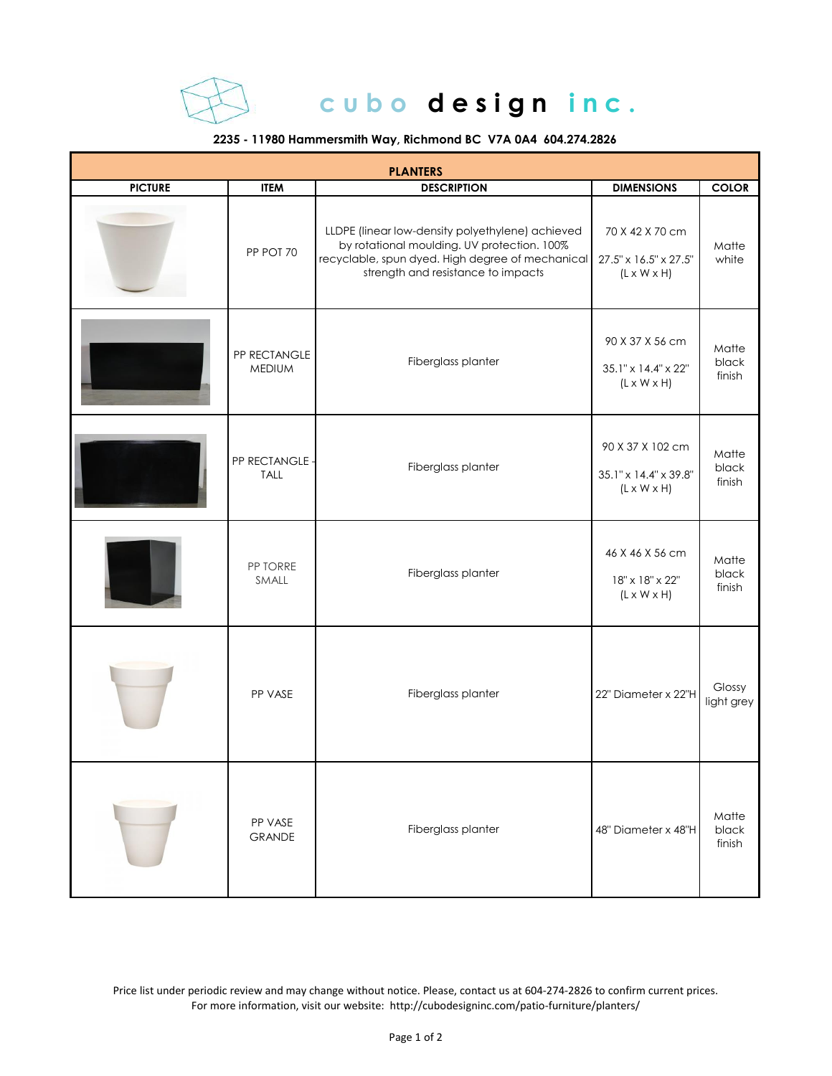

## cubo design inc.

## **2235 - 11980 Hammersmith Way, Richmond BC V7A 0A4 604.274.2826**

| <b>PLANTERS</b> |                               |                                                                                                                                                                                           |                                                                      |                          |  |  |  |
|-----------------|-------------------------------|-------------------------------------------------------------------------------------------------------------------------------------------------------------------------------------------|----------------------------------------------------------------------|--------------------------|--|--|--|
| <b>PICTURE</b>  | <b>ITEM</b>                   | <b>DESCRIPTION</b>                                                                                                                                                                        | <b>DIMENSIONS</b>                                                    | <b>COLOR</b>             |  |  |  |
|                 | PP POT 70                     | LLDPE (linear low-density polyethylene) achieved<br>by rotational moulding. UV protection. 100%<br>recyclable, spun dyed. High degree of mechanical<br>strength and resistance to impacts | 70 X 42 X 70 cm<br>27.5" x 16.5" x 27.5"<br>$(L \times W \times H)$  | Matte<br>white           |  |  |  |
|                 | PP RECTANGLE<br><b>MEDIUM</b> | Fiberglass planter                                                                                                                                                                        | 90 X 37 X 56 cm<br>35.1" x 14.4" x 22"<br>$(L \times W \times H)$    | Matte<br>black<br>finish |  |  |  |
|                 | PP RECTANGLE -<br><b>TALL</b> | Fiberglass planter                                                                                                                                                                        | 90 X 37 X 102 cm<br>35.1" x 14.4" x 39.8"<br>$(L \times W \times H)$ | Matte<br>black<br>finish |  |  |  |
|                 | PP TORRE<br>SMALL             | Fiberglass planter                                                                                                                                                                        | 46 X 46 X 56 cm<br>18" x 18" x 22"<br>$(L \times W \times H)$        | Matte<br>black<br>finish |  |  |  |
|                 | PP VASE                       | Fiberglass planter                                                                                                                                                                        | 22" Diameter x 22"H                                                  | Glossy<br>light grey     |  |  |  |
|                 | PP VASE<br><b>GRANDE</b>      | Fiberglass planter                                                                                                                                                                        | 48" Diameter x 48"H                                                  | Matte<br>black<br>finish |  |  |  |

Price list under periodic review and may change without notice. Please, contact us at 604-274-2826 to confirm current prices. For more information, visit our website: http://cubodesigninc.com/patio-furniture/planters/